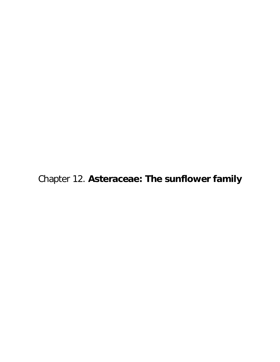Chapter 12. **Asteraceae: The sunflower family**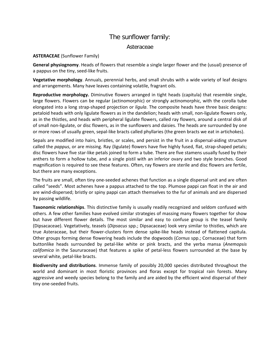## The sunflower family:

## Asteraceae

## **ASTERACEAE** (Sunflower Family)

**General physiognomy**. Heads of flowers that resemble a single larger flower and the (usual) presence of a pappus on the tiny, seed-like fruits.

**Vegetative morphology**. Annuals, perennial herbs, and small shrubs with a wide variety of leaf designs and arrangements. Many have leaves containing volatile, fragrant oils.

**Reproductive morphology.** Diminutive flowers arranged in tight heads (capitula) that resemble single, large flowers. Flowers can be regular (actinomorphic) or strongly actinomorphic, with the corolla tube elongated into a long strap-shaped projection or *ligula*. The composite heads have three basic designs: petaloid heads with only ligulate flowers as in the dandelion; heads with small, non-ligulate flowers only, as in the thistles, and heads with peripheral ligulate flowers, called ray flowers, around a central disk of of small non-ligulate, or disc flowers, as in the sunflowers and daisies. The heads are surrounded by one or more rows of usually green, sepal-like bracts called phyllaries (the green bracts we eat in artichokes).

Sepals are modified into hairs, bristles, or scales, and persist in the fruit in a dispersal-aiding structure called the *pappus*, or are missing. Ray (ligulate) flowers have five highly fused, flat, strap-shaped petals; disc flowers have five star-like petals joined to form a tube. There are five stamens usually fused by their anthers to form a hollow tube, and a single pistil with an inferior ovary and two style branches. Good magnification is required to see these features. Often, ray flowers are sterile and disc flowers are fertile, but there are many exceptions.

The fruits are small, often tiny one-seeded achenes that function as a single dispersal unit and are often called "seeds". Most achenes have a pappus attached to the top. Plumose pappi can float in the air and are wind-dispersed; bristly or spiny pappi can attach themselves to the fur of animals and are dispersed by passing wildlife.

**Taxonomic relationships**. This distinctive family is usually readily recognized and seldom confused with others. A few other families have evolved similar strategies of massing many flowers together for show but have different flower details. The most similar and easy to confuse group is the teasel family (Dipsacaceae). Vegetatively, teasels (*Dipsacus* spp.; Dipsacaceae) look very similar to thistles, which are true Asteraceae, but their flower-clusters form dense spike-like heads instead of flattened capitula. Other groups forming dense flowering heads include the dogwoods (*Cornus* spp.; Cornaceae) that form buttonlike heads surrounded by petal-like white or pink bracts, and the yerba mansa (*Anemopsis califomica* in the Saururaceae) that features a spike of petal-less flowers surrounded at the base by several white, petal-like bracts.

**Biodiversity and distributions**. Immense family of possibly 20,000 species distributed throughout the world and dominant in most floristic provinces and floras except for tropical rain forests. Many aggressive and weedy species belong to the family and are aided by the efficient wind dispersal of their tiny one-seeded fruits.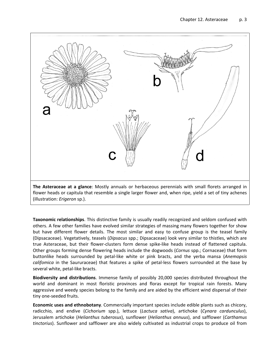

**Taxonomic relationships**. This distinctive family is usually readily recognized and seldom confused with others. A few other families have evolved similar strategies of massing many flowers together for show but have different flower details. The most similar and easy to confuse group is the teasel family (Dipsacaceae). Vegetatively, teasels (*Dipsacus* spp.; Dipsacaceae) look very similar to thistles, which are true Asteraceae, but their flower-clusters form dense spike-like heads instead of flattened capitula. Other groups forming dense flowering heads include the dogwoods (*Cornus* spp.; Cornaceae) that form buttonlike heads surrounded by petal-like white or pink bracts, and the yerba mansa (*Anemopsis califomica* in the Saururaceae) that features a spike of petal-less flowers surrounded at the base by several white, petal-like bracts.

**Biodiversity and distributions**. Immense family of possibly 20,000 species distributed throughout the world and dominant in most floristic provinces and floras except for tropical rain forests. Many aggressive and weedy species belong to the family and are aided by the efficient wind dispersal of their tiny one-seeded fruits.

**Economic uses and ethnobotany**. Commercially important species include edible plants such as chicory, radicchio, and endive (*Cichorium* spp.), lettuce (*Lactuca sativa*), artichoke (*Cynara cardunculus*), Jerusalem artichoke (*Helianthus tuberosus*), sunflower (*Helianthus annuus*), and safflower (*Carthamus tinctorius*). Sunflower and safflower are also widely cultivated as industrial crops to produce oil from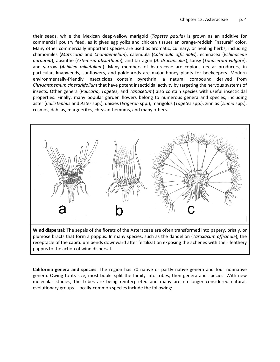their seeds, while the Mexican deep-yellow marigold (*Tagetes patula*) is grown as an additive for commercial poultry feed, as it gives egg yolks and chicken tissues an orange-reddish "natural" color. Many other commercially important species are used as aromatic, culinary, or healing herbs, including chamomiles (*Matricaria* and *Chamaemelum*), calendula (*Calendula officinalis*), echinacea (*Echinaceae purpurea*), absinthe (*Artemisia absinthium*), and tarragon (*A. dracunculus*), tansy (*Tanacetum vulgare*), and yarrow (*Achillea millefolium*). Many members of Asteraceae are copious nectar producers; in particular, knapweeds, sunflowers, and goldenrods are major honey plants for beekeepers. Modern environmentally-friendly insecticides contain pyrethrin, a natural compound derived from *Chrysanthemum cinerariifolium* that have potent insecticidal activity by targeting the nervous systems of insects. Other genera (*Pulicaria*, *Tagetes*, and *Tanacetum*) also contain species with useful insecticidal properties. Finally, many popular garden flowers belong to numerous genera and species, including aster (*Callistephus* and *Aster* spp.), daisies (*Erigeron* spp.), marigolds (*Tagetes* spp.), zinnias (*Zinnia* spp.), cosmos, dahlias, marguerites, chrysanthemums, and many others.



**Wind dispersal**: The sepals of the florets of the Asteraceae are often transformed into papery, bristly, or plumose bracts that form a pappus. In many species, such as the dandelion (*Taraxacum officinale*), the receptacle of the capitulum bends downward after fertilization exposing the achenes with their feathery pappus to the action of wind dispersal.

**California genera and species**. The region has 70 native or partly native genera and four nonnative genera. Owing to its size, most books split the family into tribes, then genera and species. With new molecular studies, the tribes are being reinterpreted and many are no longer considered natural, evolutionary groups. Locally-common species include the following: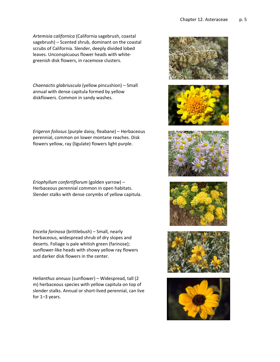*Artemisia californica* (California sagebrush, coastal sagebrush) – Scented shrub, dominant on the coastal scrubs of California. Slender, deeply divided lobed leaves. Unconspicuous flower heads with whitegreenish disk flowers, in racemose clusters.

*Chaenactis glabriuscula* (yellow pincushion) – Small annual with dense capitula formed by yellow diskflowers. Common in sandy washes.

*Erigeron foliosus* (purple daisy, fleabane) – Herbaceous perennial, common on lower montane reaches. Disk flowers yellow, ray (ligulate) flowers light purple.

*Eriophyllum confertiflorum* (golden yarrow) – Herbaceous perennial common in open habitats. Slender stalks with dense corymbs of yellow capitula.

*Encelia farinosa* (brittlebush) – Small, nearly herbaceous, widespread shrub of dry slopes and deserts. Foliage is pale whitish green (farinose); sunflower-like heads with showy yellow ray flowers and darker disk flowers in the center.

*Helianthus annuus* (sunflower) – Widespread, tall (2 m) herbaceous species with yellow capitula on top of slender stalks. Annual or short-lived perennial, can live for 1–3 years.